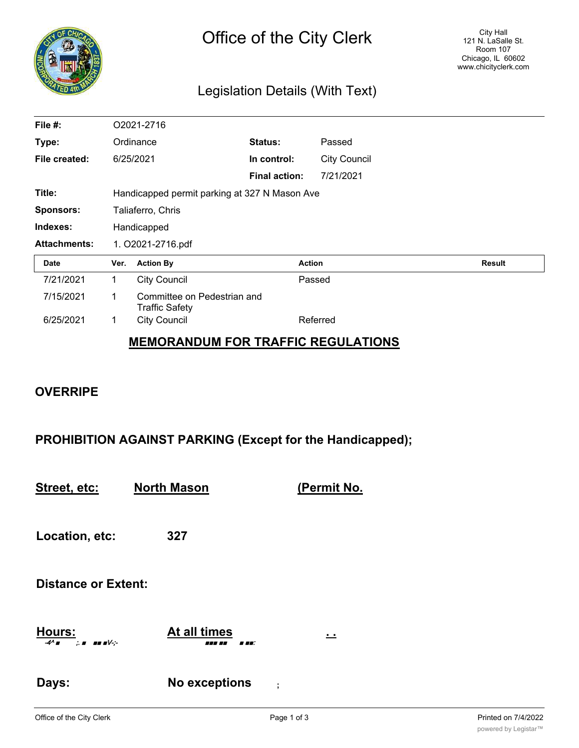

## Legislation Details (With Text)

| File #:             | O2021-2716                                    |                                                      |                      |               |                     |               |  |
|---------------------|-----------------------------------------------|------------------------------------------------------|----------------------|---------------|---------------------|---------------|--|
| Type:               | Ordinance                                     |                                                      | Status:              | Passed        |                     |               |  |
| File created:       |                                               | 6/25/2021                                            | In control:          |               | <b>City Council</b> |               |  |
|                     |                                               |                                                      | <b>Final action:</b> |               | 7/21/2021           |               |  |
| Title:              | Handicapped permit parking at 327 N Mason Ave |                                                      |                      |               |                     |               |  |
| <b>Sponsors:</b>    | Taliaferro, Chris                             |                                                      |                      |               |                     |               |  |
| Indexes:            | Handicapped                                   |                                                      |                      |               |                     |               |  |
| <b>Attachments:</b> | 1. O2021-2716.pdf                             |                                                      |                      |               |                     |               |  |
| Date                | Ver.                                          | <b>Action By</b>                                     |                      | <b>Action</b> |                     | <b>Result</b> |  |
| 7/21/2021           | 1                                             | <b>City Council</b>                                  |                      | Passed        |                     |               |  |
| 7/15/2021           | 1                                             | Committee on Pedestrian and<br><b>Traffic Safety</b> |                      |               |                     |               |  |
| 6/25/2021           | 1                                             | <b>City Council</b>                                  |                      | Referred      |                     |               |  |
|                     |                                               |                                                      |                      |               |                     |               |  |

## **MEMORANDUM FOR TRAFFIC REGULATIONS**

## **OVERRIPE**

**PROHIBITION AGAINST PARKING (Except for the Handicapped);**

**Street, etc: North Mason (Permit No.**

**Location, etc: 327**

**Distance or Extent:**

**Hours: At all times . .** -4^ ■ ;. ■ ■■ ■V-;- ■■■ ■■ ■ ■■:

**Days: No exceptions ;**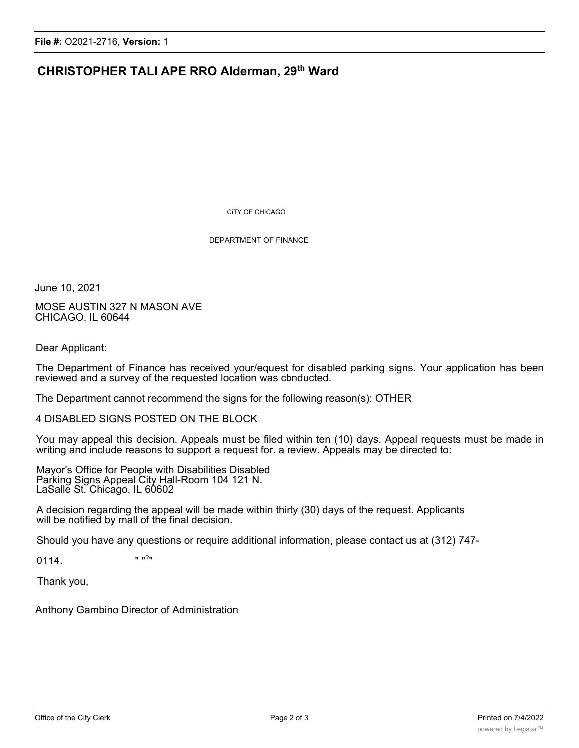## **CHRISTOPHER TALI APE RRO Alderman, 29th Ward**

CiTY OF CHICAGO

DEPARTMENT OF FINANCE

June 10, 2021

MOSE AUSTIN 327 N MASON AVE CHICAGO, IL 60644

Dear Applicant:

The Department of Finance has received your/equest for disabled parking signs. Your application has been reviewed and a survey of the requested location was cbnducted.

The Department cannot recommend the signs for the following reason(s): OTHER

4 DISABLED SIGNS POSTED ON THE BLOCK

You may appeal this decision. Appeals must be filed within ten (10) days. Appeal requests must be made in writing and include reasons to support a request for. a review. Appeals may be directed to:

Mayor's Office for People with Disabilities Disabled Parking Signs Appeal City Hall-Room 104 121 N. LaSalle St. Chicago, IL 60602

A decision regarding the appeal will be made within thirty (30) days of the request. Applicants will be notified by mall of the final decision.

Should you have any questions or require additional information, please contact us at (312) 747-

0114. " "?"

Thank you,

Anthony Gambino Director of Administration